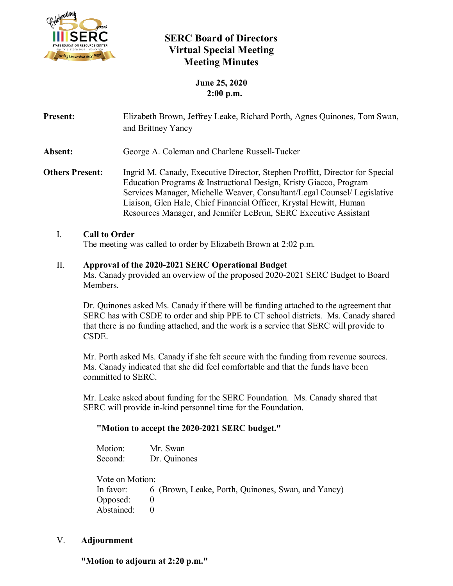

# **SERC Board of Directors Virtual Special Meeting Meeting Minutes**

# **June 25, 2020 2:00 p.m.**

| <b>Present:</b>        | Elizabeth Brown, Jeffrey Leake, Richard Porth, Agnes Quinones, Tom Swan,<br>and Brittney Yancy                                                                                                                                                                                                                                                                          |
|------------------------|-------------------------------------------------------------------------------------------------------------------------------------------------------------------------------------------------------------------------------------------------------------------------------------------------------------------------------------------------------------------------|
| Absent:                | George A. Coleman and Charlene Russell-Tucker                                                                                                                                                                                                                                                                                                                           |
| <b>Others Present:</b> | Ingrid M. Canady, Executive Director, Stephen Proffitt, Director for Special<br>Education Programs & Instructional Design, Kristy Giacco, Program<br>Services Manager, Michelle Weaver, Consultant/Legal Counsel/ Legislative<br>Liaison, Glen Hale, Chief Financial Officer, Krystal Hewitt, Human<br>Resources Manager, and Jennifer LeBrun, SERC Executive Assistant |

## I. **Call to Order**

The meeting was called to order by Elizabeth Brown at 2:02 p.m.

## II. **Approval of the 2020-2021 SERC Operational Budget**

Ms. Canady provided an overview of the proposed 2020-2021 SERC Budget to Board Members.

Dr. Quinones asked Ms. Canady if there will be funding attached to the agreement that SERC has with CSDE to order and ship PPE to CT school districts. Ms. Canady shared that there is no funding attached, and the work is a service that SERC will provide to CSDE.

Mr. Porth asked Ms. Canady if she felt secure with the funding from revenue sources. Ms. Canady indicated that she did feel comfortable and that the funds have been committed to SERC.

Mr. Leake asked about funding for the SERC Foundation. Ms. Canady shared that SERC will provide in-kind personnel time for the Foundation.

#### **"Motion to accept the 2020-2021 SERC budget."**

| Motion:         | Mr. Swan                                           |
|-----------------|----------------------------------------------------|
| Second:         | Dr. Quinones                                       |
| Vote on Motion: |                                                    |
| In favor:       | 6 (Brown, Leake, Porth, Quinones, Swan, and Yancy) |
| Opposed:        |                                                    |
| Abstained:      |                                                    |

#### V. **Adjournment**

 **"Motion to adjourn at 2:20 p.m."**